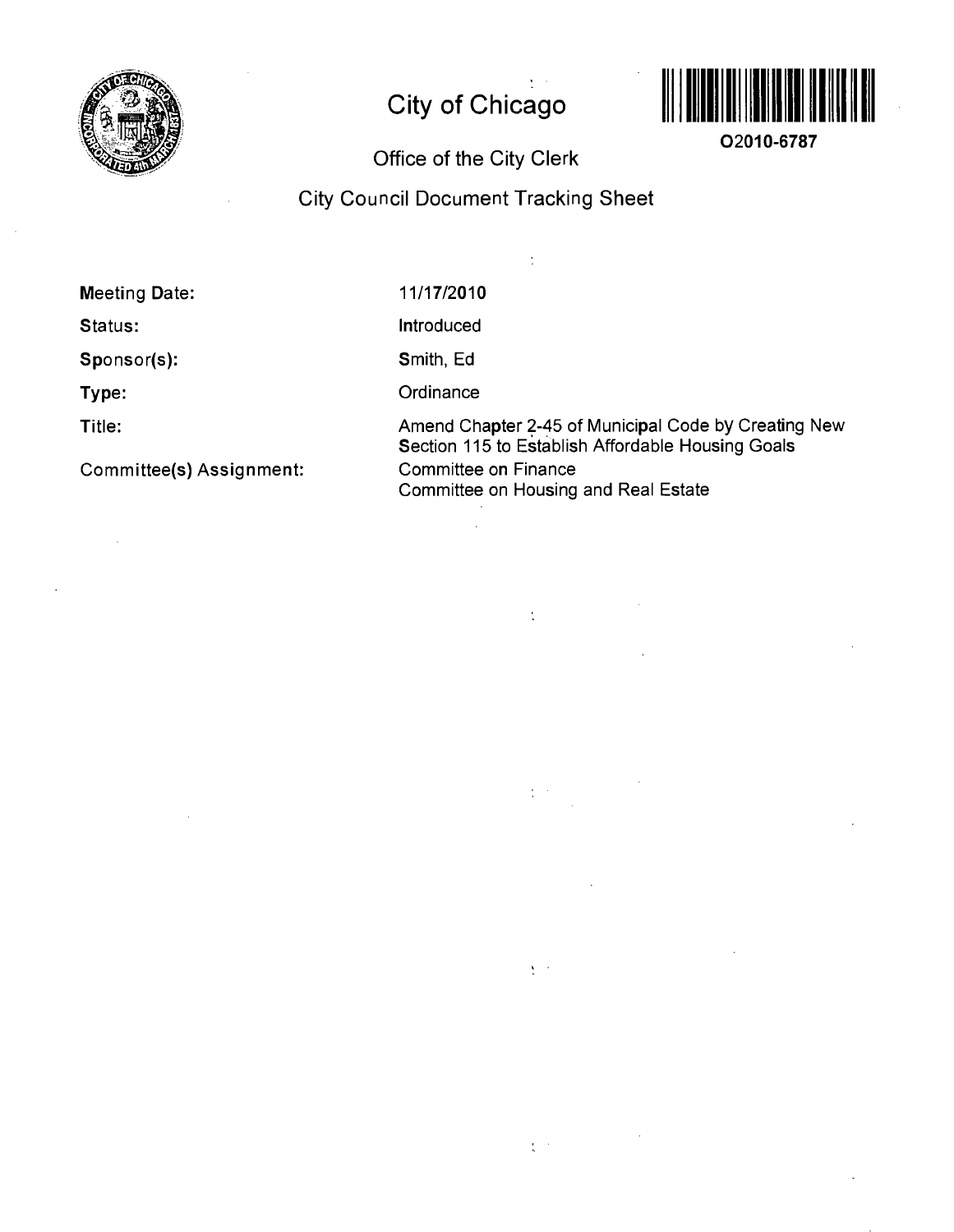

## **City of Chicago**



**02010-6787** 

## **Office of the City Clerk**

## **City Council Document Tracking Sheet**

 $\frac{1}{2}$ 

 $\mathbb{R}^3$ 

 $\frac{1}{2}$  ,  $\frac{1}{2}$ 

 $\sum_{i=1}^n \alpha_i$ 

 $\frac{1}{\lambda}$  ,  $\frac{1}{\lambda}$  ,

**Meeting Date:** 

**Status:** 

**Sponsor(s):** 

**Type:** 

**Title:** 

**Committee(s) Assignment:** 

11/17/2010

Introduced

Smith, Ed

**Ordinance** 

Amend Chapter 2-45 of Municipal Code by Creating New Section 115 to Establish Affordable Housing Goals Committee on Finance Committee on Housing and Real Estate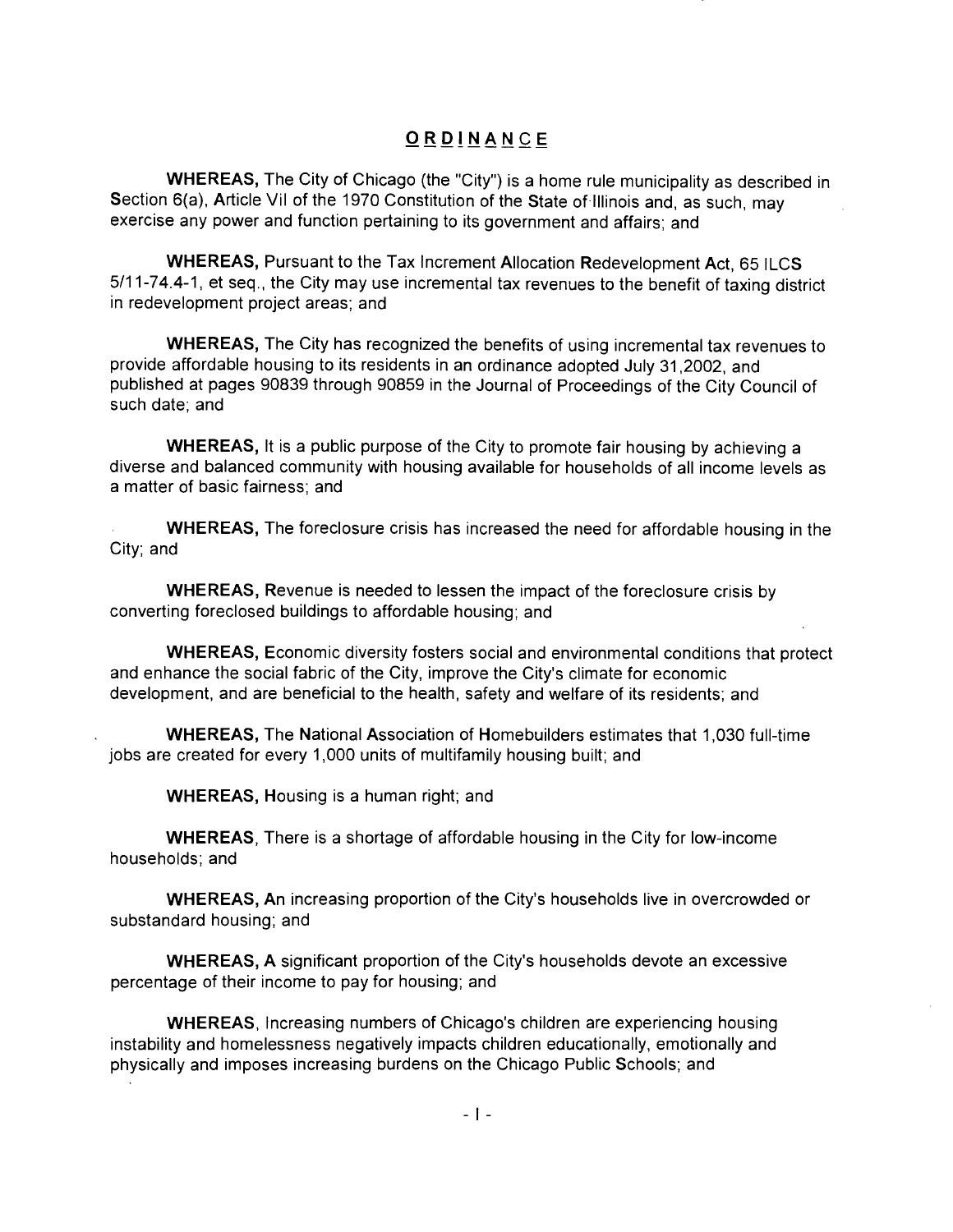## **ORDINANC E**

WHEREAS, The City of Chicago (the "City") is a home rule municipality as described in Section 6(a), Article Vil of the 1970 Constitution of the State of Illinois and, as such, may exercise any power and function pertaining to its government and affairs; and

WHEREAS, Pursuant to the Tax Increment Allocation Redevelopment Act, 65 ILCS 5/11-74.4-1, et seq., the City may use incremental tax revenues to the benefit of taxing district in redevelopment project areas; and

WHEREAS, The City has recognized the benefits of using incremental tax revenues to provide affordable housing to its residents in an ordinance adopted July 31,2002, and published at pages 90839 through 90859 in the Journal of Proceedings of the City Council of such date; and

WHEREAS, It is a public purpose of the City to promote fair housing by achieving a diverse and balanced community with housing available for households of all income levels as a matter of basic fairness; and

WHEREAS, The foreclosure crisis has increased the need for affordable housing in the City; and

WHEREAS, Revenue is needed to lessen the impact of the foreclosure crisis by converting foreclosed buildings to affordable housing; and

WHEREAS, Economic diversity fosters social and environmental conditions that protect and enhance the social fabric of the City, improve the City's climate for economic development, and are beneficial to the health, safety and welfare of its residents; and

WHEREAS, The National Association of Homebuilders estimates that 1,030 full-time jobs are created for every 1,000 units of multifamily housing built; and

WHEREAS, Housing is a human right; and

WHEREAS, There is a shortage of affordable housing in the City for low-income households; and

WHEREAS, An increasing proportion of the City's households live in overcrowded or substandard housing; and

WHEREAS, A significant proportion of the City's households devote an excessive percentage of their income to pay for housing; and

WHEREAS, Increasing numbers of Chicago's children are experiencing housing instability and homelessness negatively impacts children educationally, emotionally and physically and imposes increasing burdens on the Chicago Public Schools; and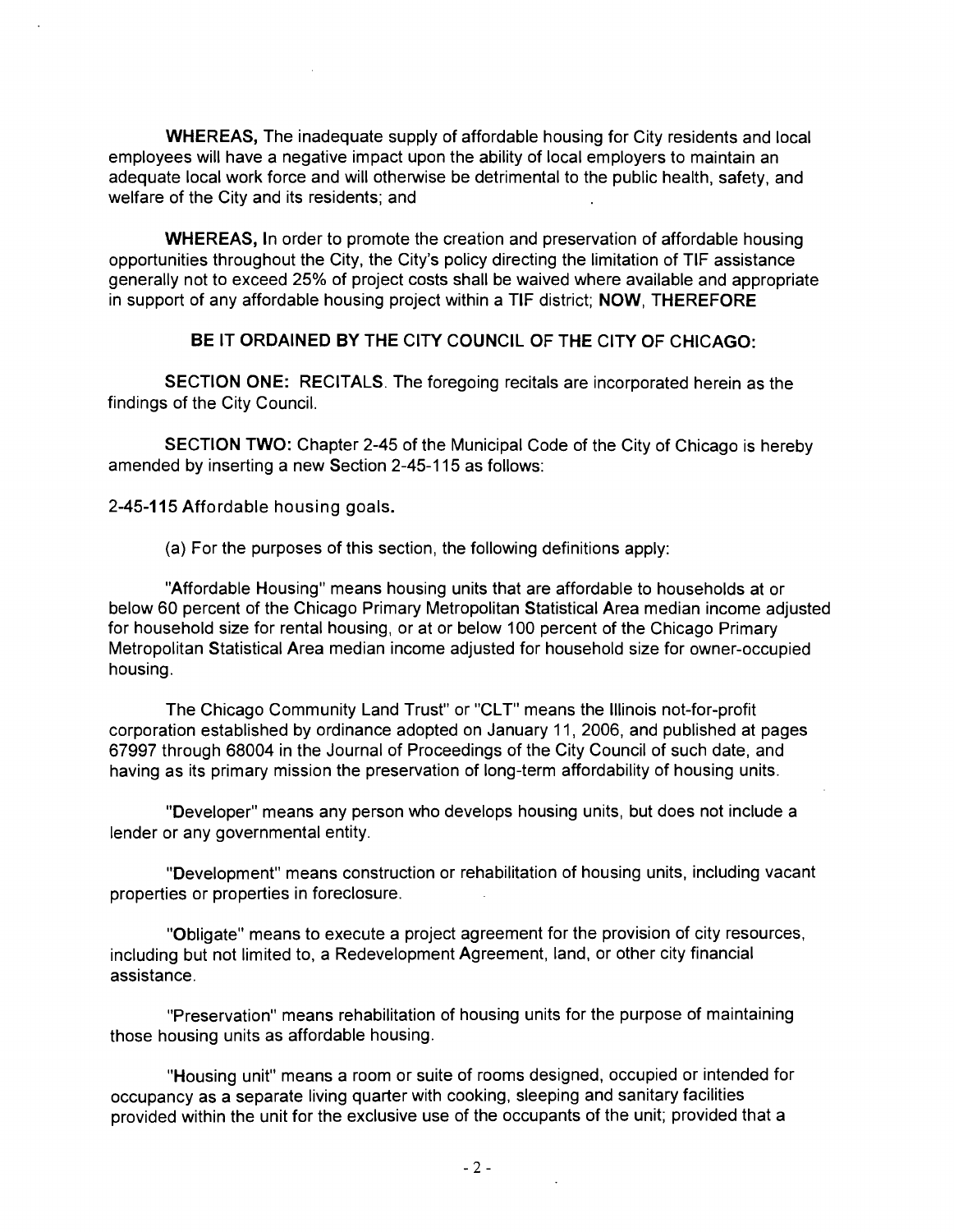WHEREAS, The inadequate supply of affordable housing for City residents and local employees will have a negative impact upon the ability of local employers to maintain an adequate local work force and will otherwise be detrimental to the public health, safety, and welfare of the City and its residents; and

WHEREAS, In order to promote the creation and preservation of affordable housing opportunities throughout the City, the City's policy directing the limitation of TIF assistance generally not to exceed 25% of project costs shall be waived where available and appropriate in support of any affordable housing project within a TIF district; NOW, THEREFORE

**BE IT ORDAINED BY THE CITY COUNCIL OF THE CITY OF CHICAGO:** 

SECTION ONE: RECITALS. The foregoing recitals are incorporated herein as the findings of the City Council.

SECTION TWO: Chapter 2-45 of the Municipal Code of the City of Chicago is hereby amended by inserting a new Section 2-45-115 as follows:

**2-45-115 Affordable housing goals.** 

(a) For the purposes of this section, the following definitions apply:

"Affordable Housing" means housing units that are affordable to households at or below 60 percent of the Chicago Primary Metropolitan Statistical Area median income adjusted for household size for rental housing, or at or below 100 percent of the Chicago Primary Metropolitan Statistical Area median income adjusted for household size for owner-occupied housing.

The Chicago Community Land Trust" or "CLT" means the Illinois not-for-profit corporation established by ordinance adopted on January 11, 2006, and published at pages 67997 through 68004 in the Journal of Proceedings of the City Council of such date, and having as its primary mission the preservation of long-term affordability of housing units.

"Developer" means any person who develops housing units, but does not include a lender or any governmental entity.

"Development" means construction or rehabilitation of housing units, including vacant properties or properties in foreclosure.

"Obligate" means to execute a project agreement for the provision of city resources, including but not limited to, a Redevelopment Agreement, land, or other city financial assistance.

"Preservation" means rehabilitation of housing units for the purpose of maintaining those housing units as affordable housing.

"Housing unit" means a room or suite of rooms designed, occupied or intended for occupancy as a separate living quarter with cooking, sleeping and sanitary facilities provided within the unit for the exclusive use of the occupants of the unit; provided that a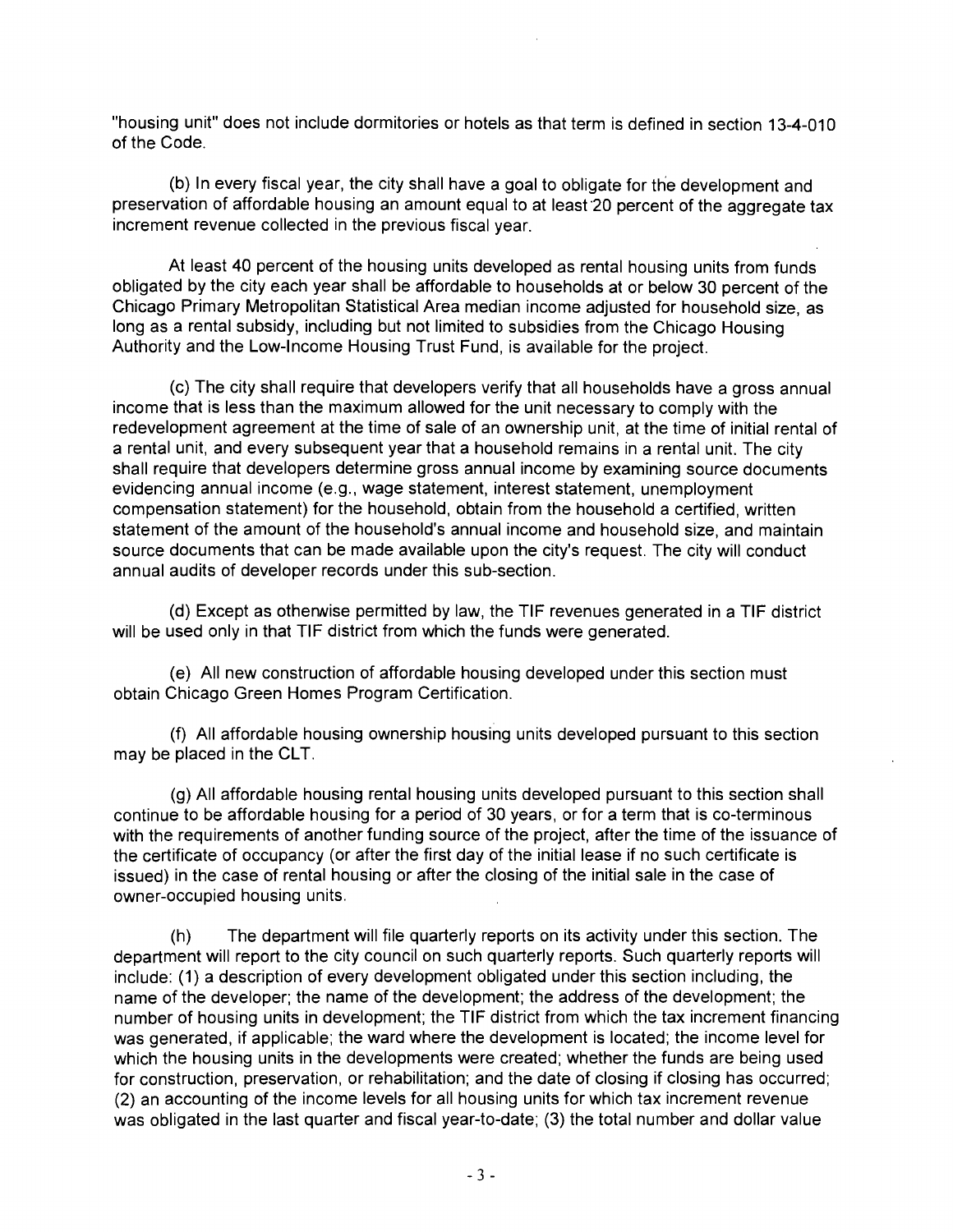"housing unit" does not include dormitories or hotels as that term is defined in section 13-4-010 of the Code.

(b) In every fiscal year, the city shall have a goal to obligate for the development and preservation of affordable housing an amount equal to at least 20 percent of the aggregate tax increment revenue collected in the previous fiscal year.

At least 40 percent of the housing units developed as rental housing units from funds obligated by the city each year shall be affordable to households at or below 30 percent of the Chicago Primary Metropolitan Statistical Area median income adjusted for household size, as long as a rental subsidy, including but not limited to subsidies from the Chicago Housing Authority and the Low-Income Housing Trust Fund, is available for the project.

(c) The city shall require that developers verify that all households have a gross annual income that is less than the maximum allowed for the unit necessary to comply with the redevelopment agreement at the time of sale of an ownership unit, at the time of initial rental of a rental unit, and every subsequent year that a household remains in a rental unit. The city shall require that developers determine gross annual income by examining source documents evidencing annual income (e.g., wage statement, interest statement, unemployment compensation statement) for the household, obtain from the household a certified, written statement of the amount of the household's annual income and household size, and maintain source documents that can be made available upon the city's request. The city will conduct annual audits of developer records under this sub-section.

(d) Except as othenwise permitted by law, the TIF revenues generated in a TIF district will be used only in that TIF district from which the funds were generated.

(e) All new construction of affordable housing developed under this section must obtain Chicago Green Homes Program Certification.

(f) All affordable housing ownership housing units developed pursuant to this section may be placed in the CLT.

(g) All affordable housing rental housing units developed pursuant to this section shall continue to be affordable housing for a period of 30 years, or for a term that is co-terminous with the requirements of another funding source of the project, after the time of the issuance of the certificate of occupancy (or after the first day of the initial lease if no such certificate is issued) in the case of rental housing or after the closing of the initial sale in the case of owner-occupied housing units.

(h) The department will file quarterly reports on its activity under this section. The department will report to the city council on such quarterly reports. Such quarterly reports will include: (1) a description of every development obligated under this section including, the name of the developer; the name of the development; the address of the development; the number of housing units in development; the TIF district from which the tax increment financing was generated, if applicable; the ward where the development is located; the income level for which the housing units in the developments were created; whether the funds are being used for construction, preservation, or rehabilitation; and the date of closing if closing has occurred; (2) an accounting of the income levels for all housing units for which tax increment revenue was obligated in the last quarter and fiscal year-to-date; (3) the total number and dollar value